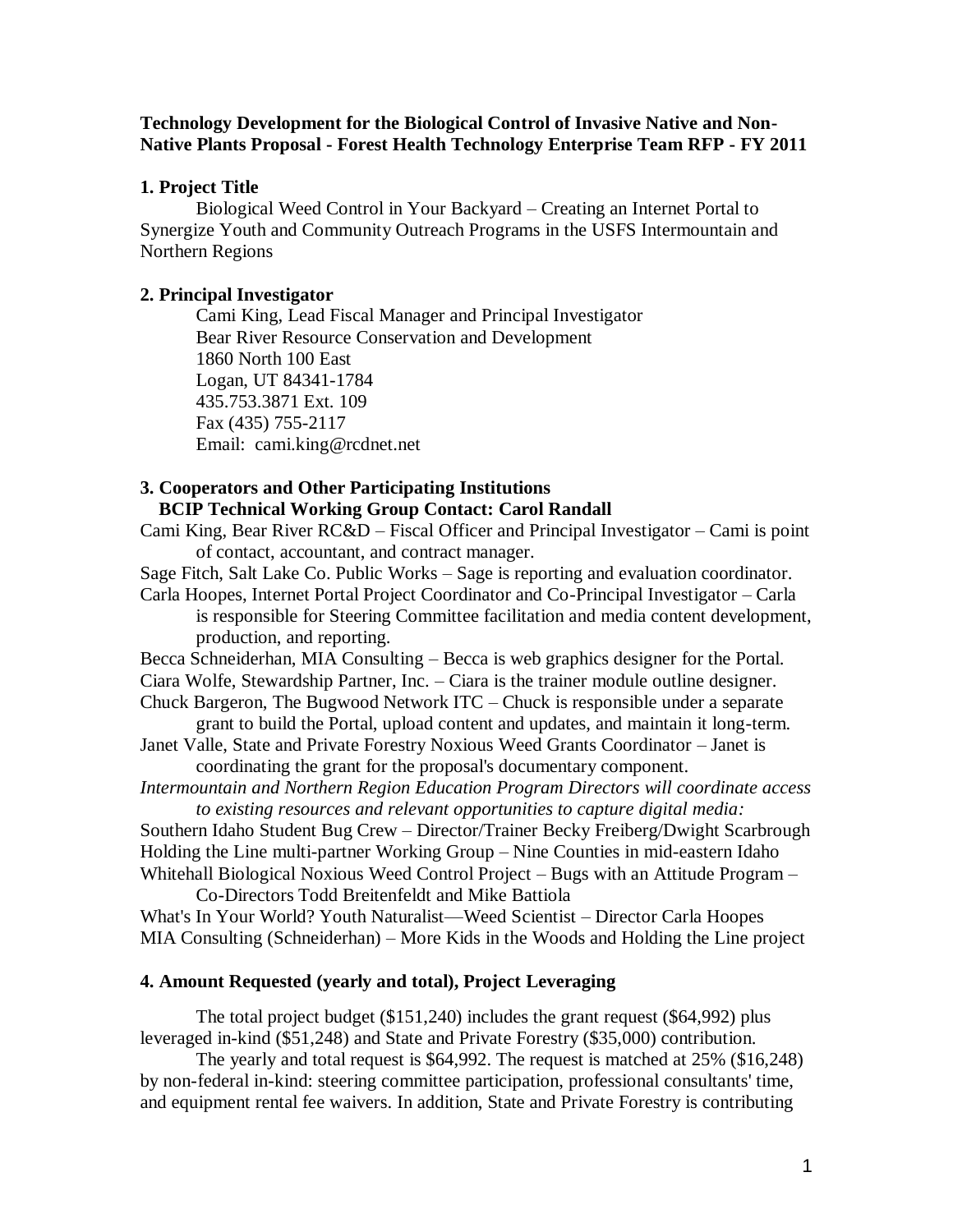## **Technology Development for the Biological Control of Invasive Native and Non-Native Plants Proposal - Forest Health Technology Enterprise Team RFP - FY 2011**

### **1. Project Title**

Biological Weed Control in Your Backyard – Creating an Internet Portal to Synergize Youth and Community Outreach Programs in the USFS Intermountain and Northern Regions

## **2. Principal Investigator**

Cami King, Lead Fiscal Manager and Principal Investigator Bear River Resource Conservation and Development 1860 North 100 East Logan, UT 84341-1784 435.753.3871 Ext. 109 Fax (435) 755-2117 Email: cami.king@rcdnet.net

# **3. Cooperators and Other Participating Institutions BCIP Technical Working Group Contact: Carol Randall**

Cami King, Bear River RC&D – Fiscal Officer and Principal Investigator – Cami is point of contact, accountant, and contract manager.

Sage Fitch, Salt Lake Co. Public Works – Sage is reporting and evaluation coordinator.

Carla Hoopes, Internet Portal Project Coordinator and Co-Principal Investigator – Carla is responsible for Steering Committee facilitation and media content development, production, and reporting.

Becca Schneiderhan, MIA Consulting – Becca is web graphics designer for the Portal.

Ciara Wolfe, Stewardship Partner, Inc. – Ciara is the trainer module outline designer. Chuck Bargeron, The Bugwood Network ITC – Chuck is responsible under a separate

grant to build the Portal, upload content and updates, and maintain it long-term. Janet Valle, State and Private Forestry Noxious Weed Grants Coordinator – Janet is

coordinating the grant for the proposal's documentary component.

*Intermountain and Northern Region Education Program Directors will coordinate access to existing resources and relevant opportunities to capture digital media:*

Southern Idaho Student Bug Crew – Director/Trainer Becky Freiberg/Dwight Scarbrough Holding the Line multi-partner Working Group – Nine Counties in mid-eastern Idaho Whitehall Biological Noxious Weed Control Project – Bugs with an Attitude Program –

Co-Directors Todd Breitenfeldt and Mike Battiola What's In Your World? Youth Naturalist—Weed Scientist – Director Carla Hoopes MIA Consulting (Schneiderhan) – More Kids in the Woods and Holding the Line project

### **4. Amount Requested (yearly and total), Project Leveraging**

The total project budget (\$151,240) includes the grant request (\$64,992) plus leveraged in-kind (\$51,248) and State and Private Forestry (\$35,000) contribution.

The yearly and total request is \$64,992. The request is matched at 25% (\$16,248) by non-federal in-kind: steering committee participation, professional consultants' time, and equipment rental fee waivers. In addition, State and Private Forestry is contributing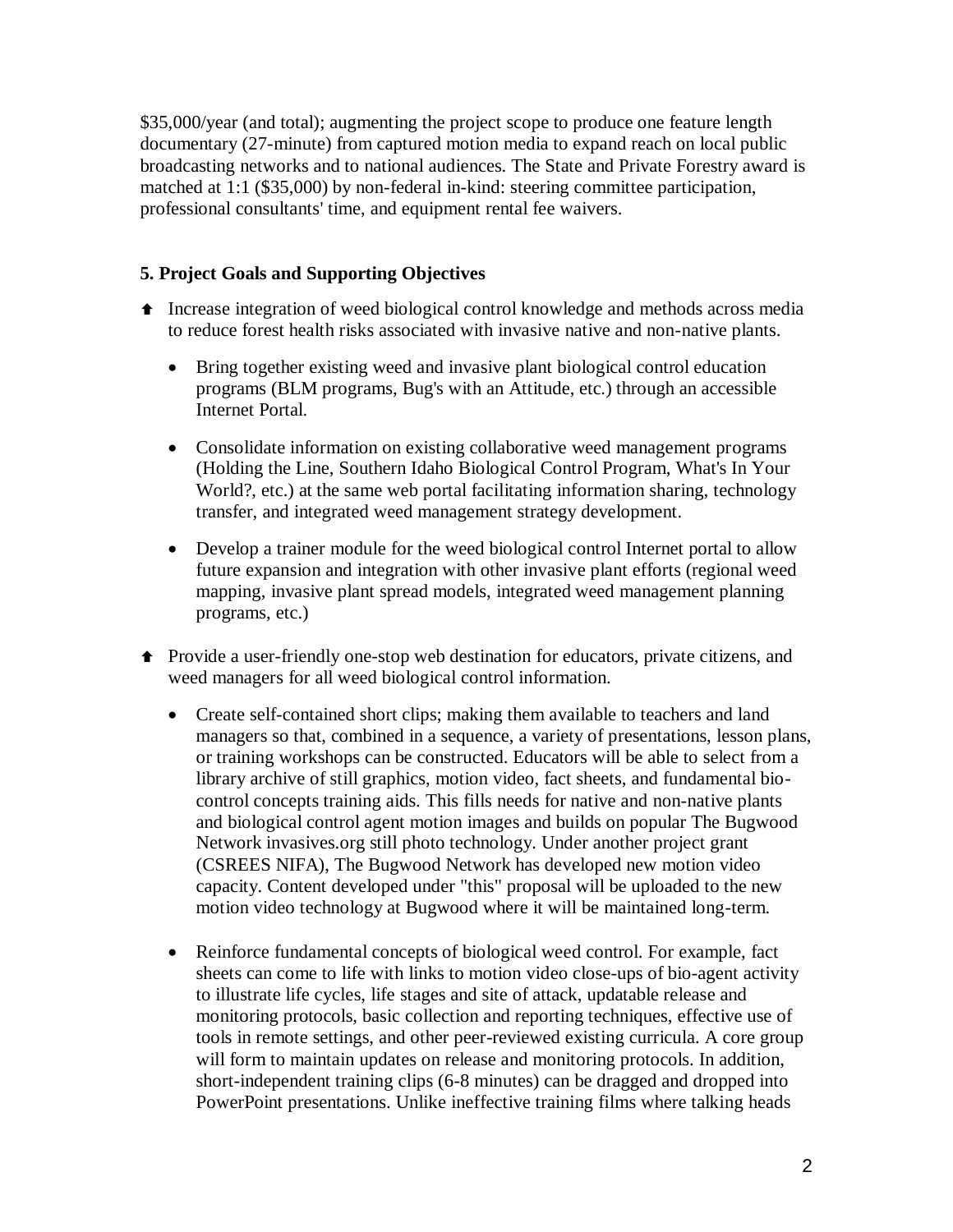\$35,000/year (and total); augmenting the project scope to produce one feature length documentary (27-minute) from captured motion media to expand reach on local public broadcasting networks and to national audiences. The State and Private Forestry award is matched at 1:1 (\$35,000) by non-federal in-kind: steering committee participation, professional consultants' time, and equipment rental fee waivers.

# **5. Project Goals and Supporting Objectives**

- Increase integration of weed biological control knowledge and methods across media to reduce forest health risks associated with invasive native and non-native plants.
	- Bring together existing weed and invasive plant biological control education programs (BLM programs, Bug's with an Attitude, etc.) through an accessible Internet Portal.
	- Consolidate information on existing collaborative weed management programs (Holding the Line, Southern Idaho Biological Control Program, What's In Your World?, etc.) at the same web portal facilitating information sharing, technology transfer, and integrated weed management strategy development.
	- Develop a trainer module for the weed biological control Internet portal to allow future expansion and integration with other invasive plant efforts (regional weed mapping, invasive plant spread models, integrated weed management planning programs, etc.)
- Provide a user-friendly one-stop web destination for educators, private citizens, and weed managers for all weed biological control information.
	- Create self-contained short clips; making them available to teachers and land managers so that, combined in a sequence, a variety of presentations, lesson plans, or training workshops can be constructed. Educators will be able to select from a library archive of still graphics, motion video, fact sheets, and fundamental biocontrol concepts training aids. This fills needs for native and non-native plants and biological control agent motion images and builds on popular The Bugwood Network invasives.org still photo technology. Under another project grant (CSREES NIFA), The Bugwood Network has developed new motion video capacity. Content developed under "this" proposal will be uploaded to the new motion video technology at Bugwood where it will be maintained long-term.
	- Reinforce fundamental concepts of biological weed control. For example, fact sheets can come to life with links to motion video close-ups of bio-agent activity to illustrate life cycles, life stages and site of attack, updatable release and monitoring protocols, basic collection and reporting techniques, effective use of tools in remote settings, and other peer-reviewed existing curricula. A core group will form to maintain updates on release and monitoring protocols. In addition, short-independent training clips (6-8 minutes) can be dragged and dropped into PowerPoint presentations. Unlike ineffective training films where talking heads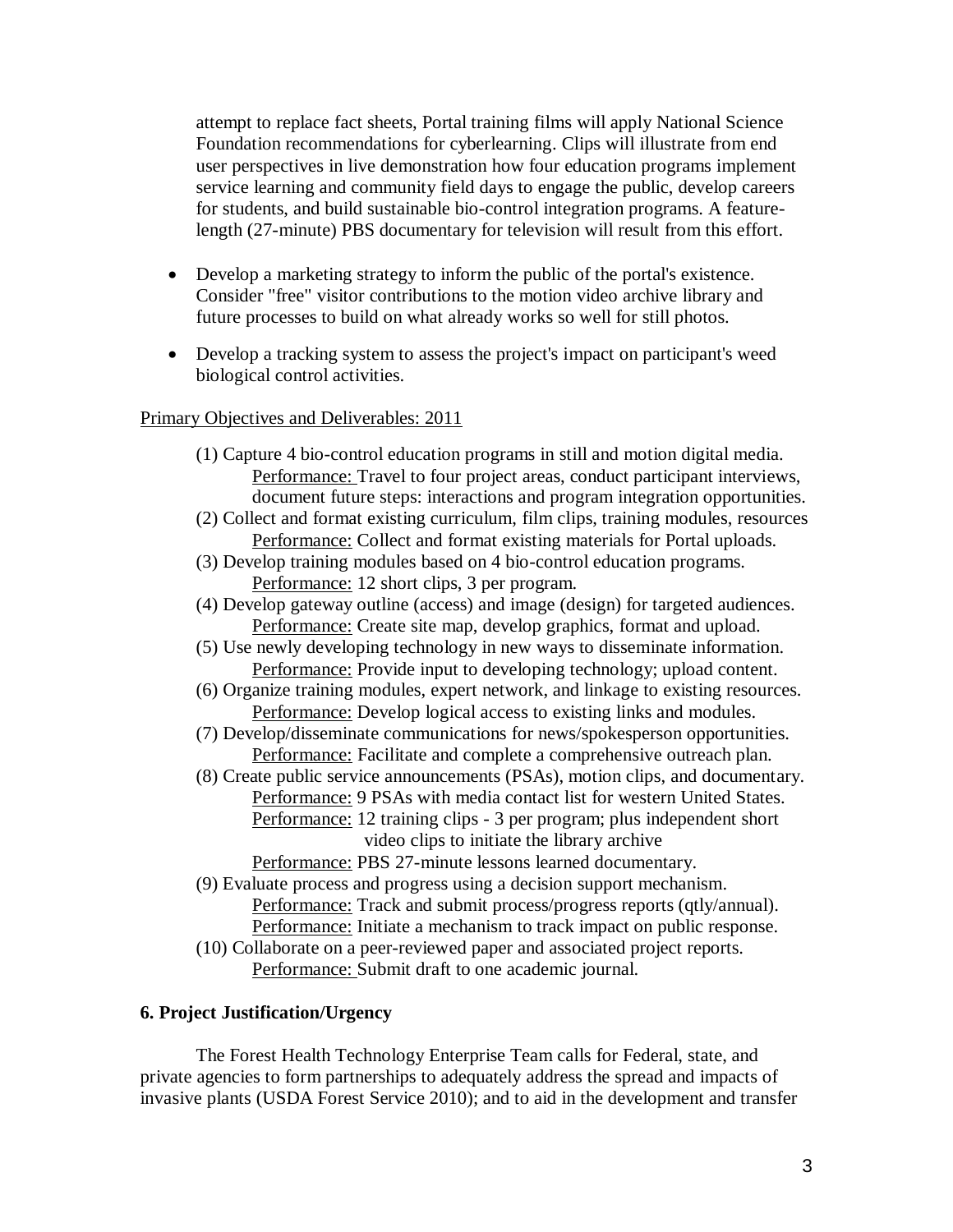attempt to replace fact sheets, Portal training films will apply National Science Foundation recommendations for cyberlearning. Clips will illustrate from end user perspectives in live demonstration how four education programs implement service learning and community field days to engage the public, develop careers for students, and build sustainable bio-control integration programs. A featurelength (27-minute) PBS documentary for television will result from this effort.

- Develop a marketing strategy to inform the public of the portal's existence. Consider "free" visitor contributions to the motion video archive library and future processes to build on what already works so well for still photos.
- Develop a tracking system to assess the project's impact on participant's weed biological control activities.

## Primary Objectives and Deliverables: 2011

- (1) Capture 4 bio-control education programs in still and motion digital media. Performance: Travel to four project areas, conduct participant interviews, document future steps: interactions and program integration opportunities.
- (2) Collect and format existing curriculum, film clips, training modules, resources Performance: Collect and format existing materials for Portal uploads.
- (3) Develop training modules based on 4 bio-control education programs. Performance: 12 short clips, 3 per program.
- (4) Develop gateway outline (access) and image (design) for targeted audiences. Performance: Create site map, develop graphics, format and upload.
- (5) Use newly developing technology in new ways to disseminate information. Performance: Provide input to developing technology; upload content.
- (6) Organize training modules, expert network, and linkage to existing resources. Performance: Develop logical access to existing links and modules.
- (7) Develop/disseminate communications for news/spokesperson opportunities. Performance: Facilitate and complete a comprehensive outreach plan.
- (8) Create public service announcements (PSAs), motion clips, and documentary. Performance: 9 PSAs with media contact list for western United States. Performance: 12 training clips - 3 per program; plus independent short
	- video clips to initiate the library archive

Performance: PBS 27-minute lessons learned documentary.

- (9) Evaluate process and progress using a decision support mechanism.
	- Performance: Track and submit process/progress reports (qtly/annual). Performance: Initiate a mechanism to track impact on public response.
- (10) Collaborate on a peer-reviewed paper and associated project reports. Performance: Submit draft to one academic journal.

# **6. Project Justification/Urgency**

The Forest Health Technology Enterprise Team calls for Federal, state, and private agencies to form partnerships to adequately address the spread and impacts of invasive plants (USDA Forest Service 2010); and to aid in the development and transfer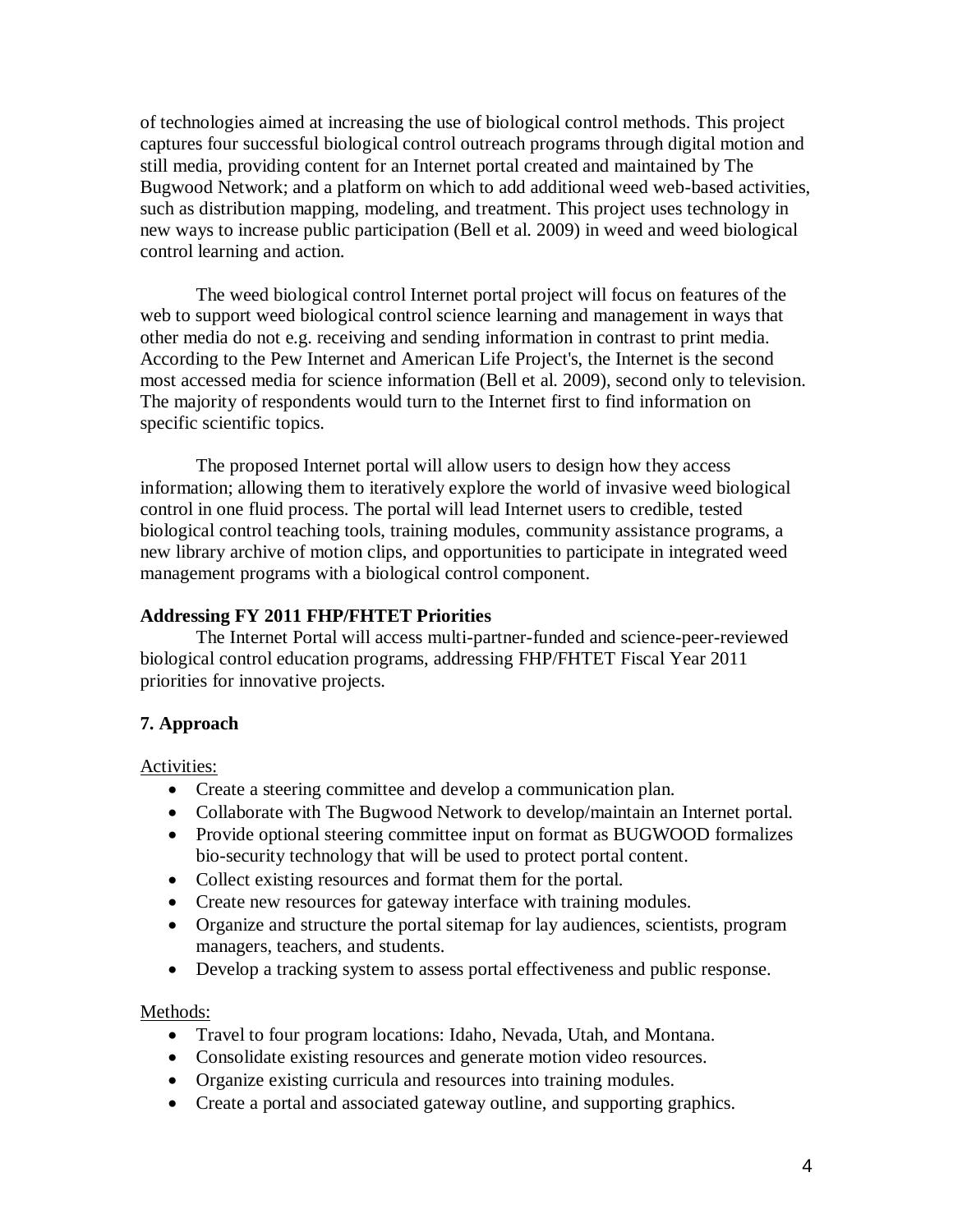of technologies aimed at increasing the use of biological control methods. This project captures four successful biological control outreach programs through digital motion and still media, providing content for an Internet portal created and maintained by The Bugwood Network; and a platform on which to add additional weed web-based activities, such as distribution mapping, modeling, and treatment. This project uses technology in new ways to increase public participation (Bell et al. 2009) in weed and weed biological control learning and action.

The weed biological control Internet portal project will focus on features of the web to support weed biological control science learning and management in ways that other media do not e.g. receiving and sending information in contrast to print media. According to the Pew Internet and American Life Project's, the Internet is the second most accessed media for science information (Bell et al. 2009), second only to television. The majority of respondents would turn to the Internet first to find information on specific scientific topics.

The proposed Internet portal will allow users to design how they access information; allowing them to iteratively explore the world of invasive weed biological control in one fluid process. The portal will lead Internet users to credible, tested biological control teaching tools, training modules, community assistance programs, a new library archive of motion clips, and opportunities to participate in integrated weed management programs with a biological control component.

# **Addressing FY 2011 FHP/FHTET Priorities**

The Internet Portal will access multi-partner-funded and science-peer-reviewed biological control education programs, addressing FHP/FHTET Fiscal Year 2011 priorities for innovative projects.

# **7. Approach**

Activities:

- Create a steering committee and develop a communication plan.
- Collaborate with The Bugwood Network to develop/maintain an Internet portal.
- Provide optional steering committee input on format as BUGWOOD formalizes bio-security technology that will be used to protect portal content.
- Collect existing resources and format them for the portal.
- Create new resources for gateway interface with training modules.
- Organize and structure the portal sitemap for lay audiences, scientists, program managers, teachers, and students.
- Develop a tracking system to assess portal effectiveness and public response.

Methods:

- Travel to four program locations: Idaho, Nevada, Utah, and Montana.
- Consolidate existing resources and generate motion video resources.
- Organize existing curricula and resources into training modules.
- Create a portal and associated gateway outline, and supporting graphics.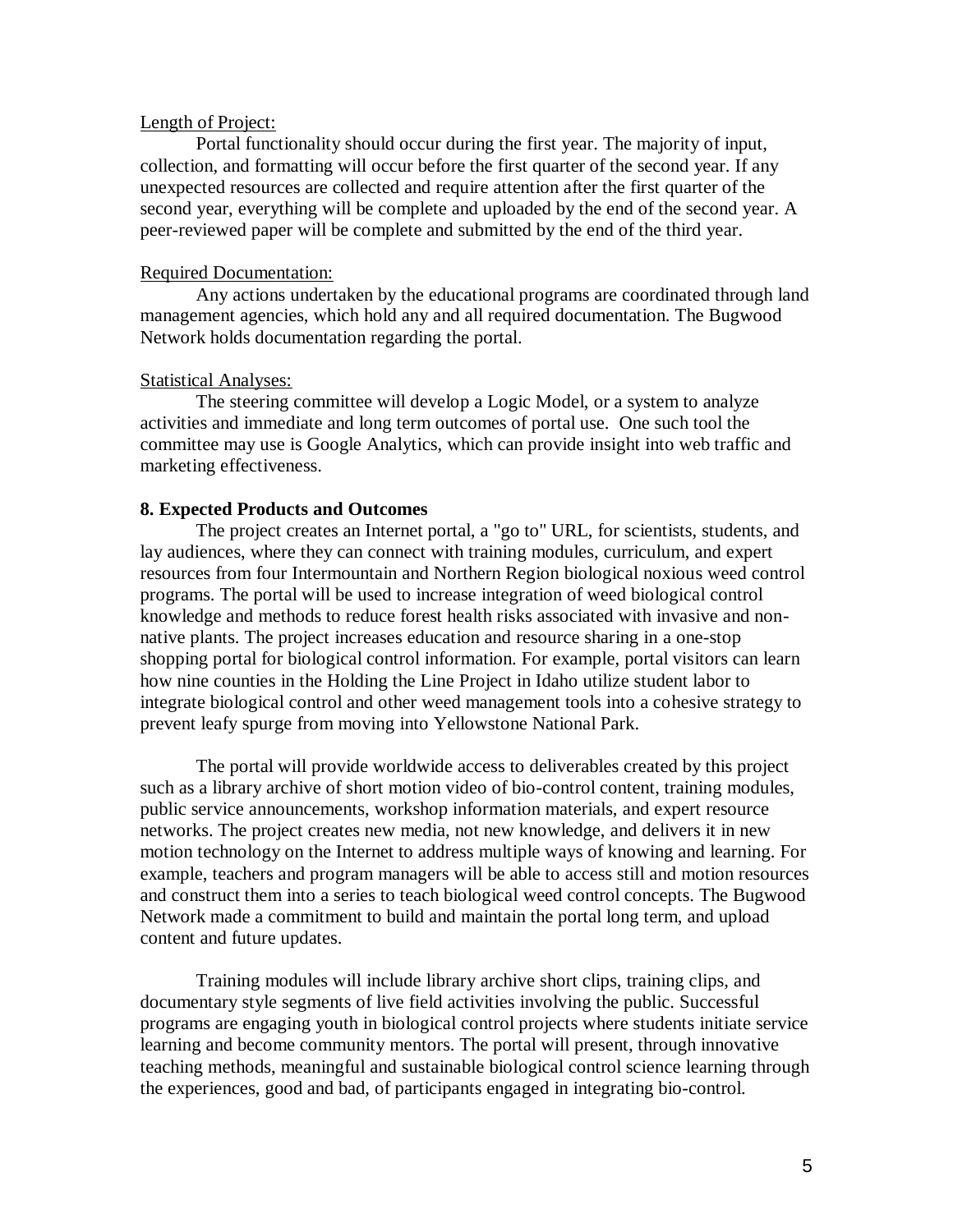#### Length of Project:

Portal functionality should occur during the first year. The majority of input, collection, and formatting will occur before the first quarter of the second year. If any unexpected resources are collected and require attention after the first quarter of the second year, everything will be complete and uploaded by the end of the second year. A peer-reviewed paper will be complete and submitted by the end of the third year.

### Required Documentation:

Any actions undertaken by the educational programs are coordinated through land management agencies, which hold any and all required documentation. The Bugwood Network holds documentation regarding the portal.

### Statistical Analyses:

The steering committee will develop a Logic Model, or a system to analyze activities and immediate and long term outcomes of portal use. One such tool the committee may use is Google Analytics, which can provide insight into web traffic and marketing effectiveness.

### **8. Expected Products and Outcomes**

The project creates an Internet portal, a "go to" URL, for scientists, students, and lay audiences, where they can connect with training modules, curriculum, and expert resources from four Intermountain and Northern Region biological noxious weed control programs. The portal will be used to increase integration of weed biological control knowledge and methods to reduce forest health risks associated with invasive and nonnative plants. The project increases education and resource sharing in a one-stop shopping portal for biological control information. For example, portal visitors can learn how nine counties in the Holding the Line Project in Idaho utilize student labor to integrate biological control and other weed management tools into a cohesive strategy to prevent leafy spurge from moving into Yellowstone National Park.

The portal will provide worldwide access to deliverables created by this project such as a library archive of short motion video of bio-control content, training modules, public service announcements, workshop information materials, and expert resource networks. The project creates new media, not new knowledge, and delivers it in new motion technology on the Internet to address multiple ways of knowing and learning. For example, teachers and program managers will be able to access still and motion resources and construct them into a series to teach biological weed control concepts. The Bugwood Network made a commitment to build and maintain the portal long term, and upload content and future updates.

Training modules will include library archive short clips, training clips, and documentary style segments of live field activities involving the public. Successful programs are engaging youth in biological control projects where students initiate service learning and become community mentors. The portal will present, through innovative teaching methods, meaningful and sustainable biological control science learning through the experiences, good and bad, of participants engaged in integrating bio-control.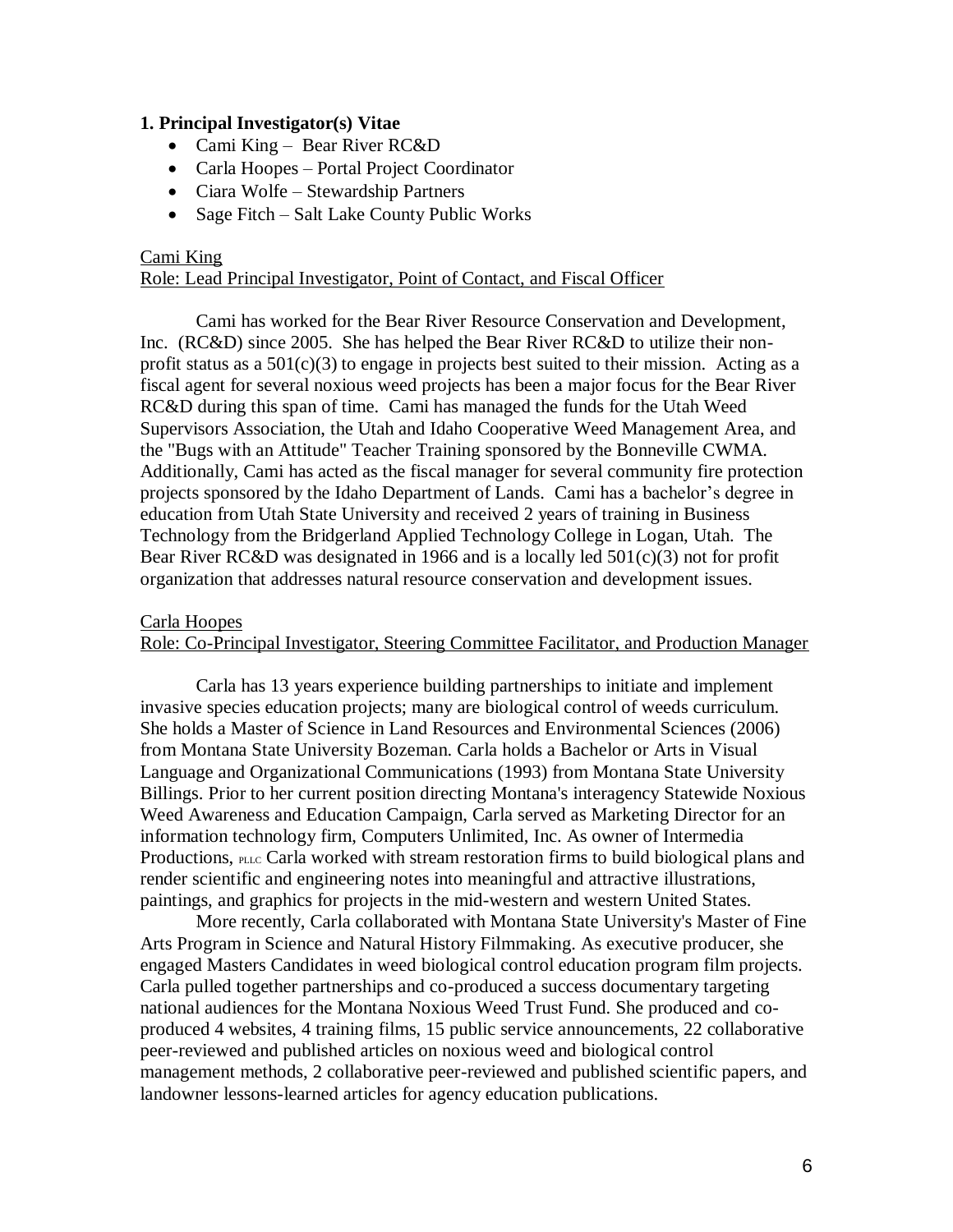### **1. Principal Investigator(s) Vitae**

- Cami King Bear River RC&D
- Carla Hoopes Portal Project Coordinator
- Ciara Wolfe Stewardship Partners
- Sage Fitch Salt Lake County Public Works

# Cami King

# Role: Lead Principal Investigator, Point of Contact, and Fiscal Officer

Cami has worked for the Bear River Resource Conservation and Development, Inc. (RC&D) since 2005. She has helped the Bear River RC&D to utilize their nonprofit status as a  $501(c)(3)$  to engage in projects best suited to their mission. Acting as a fiscal agent for several noxious weed projects has been a major focus for the Bear River RC&D during this span of time. Cami has managed the funds for the Utah Weed Supervisors Association, the Utah and Idaho Cooperative Weed Management Area, and the "Bugs with an Attitude" Teacher Training sponsored by the Bonneville CWMA. Additionally, Cami has acted as the fiscal manager for several community fire protection projects sponsored by the Idaho Department of Lands. Cami has a bachelor's degree in education from Utah State University and received 2 years of training in Business Technology from the Bridgerland Applied Technology College in Logan, Utah. The Bear River RC&D was designated in 1966 and is a locally led 501(c)(3) not for profit organization that addresses natural resource conservation and development issues.

#### Carla Hoopes

## Role: Co-Principal Investigator, Steering Committee Facilitator, and Production Manager

Carla has 13 years experience building partnerships to initiate and implement invasive species education projects; many are biological control of weeds curriculum. She holds a Master of Science in Land Resources and Environmental Sciences (2006) from Montana State University Bozeman. Carla holds a Bachelor or Arts in Visual Language and Organizational Communications (1993) from Montana State University Billings. Prior to her current position directing Montana's interagency Statewide Noxious Weed Awareness and Education Campaign, Carla served as Marketing Director for an information technology firm, Computers Unlimited, Inc. As owner of Intermedia Productions, PLLC Carla worked with stream restoration firms to build biological plans and render scientific and engineering notes into meaningful and attractive illustrations, paintings, and graphics for projects in the mid-western and western United States.

More recently, Carla collaborated with Montana State University's Master of Fine Arts Program in Science and Natural History Filmmaking. As executive producer, she engaged Masters Candidates in weed biological control education program film projects. Carla pulled together partnerships and co-produced a success documentary targeting national audiences for the Montana Noxious Weed Trust Fund. She produced and coproduced 4 websites, 4 training films, 15 public service announcements, 22 collaborative peer-reviewed and published articles on noxious weed and biological control management methods, 2 collaborative peer-reviewed and published scientific papers, and landowner lessons-learned articles for agency education publications.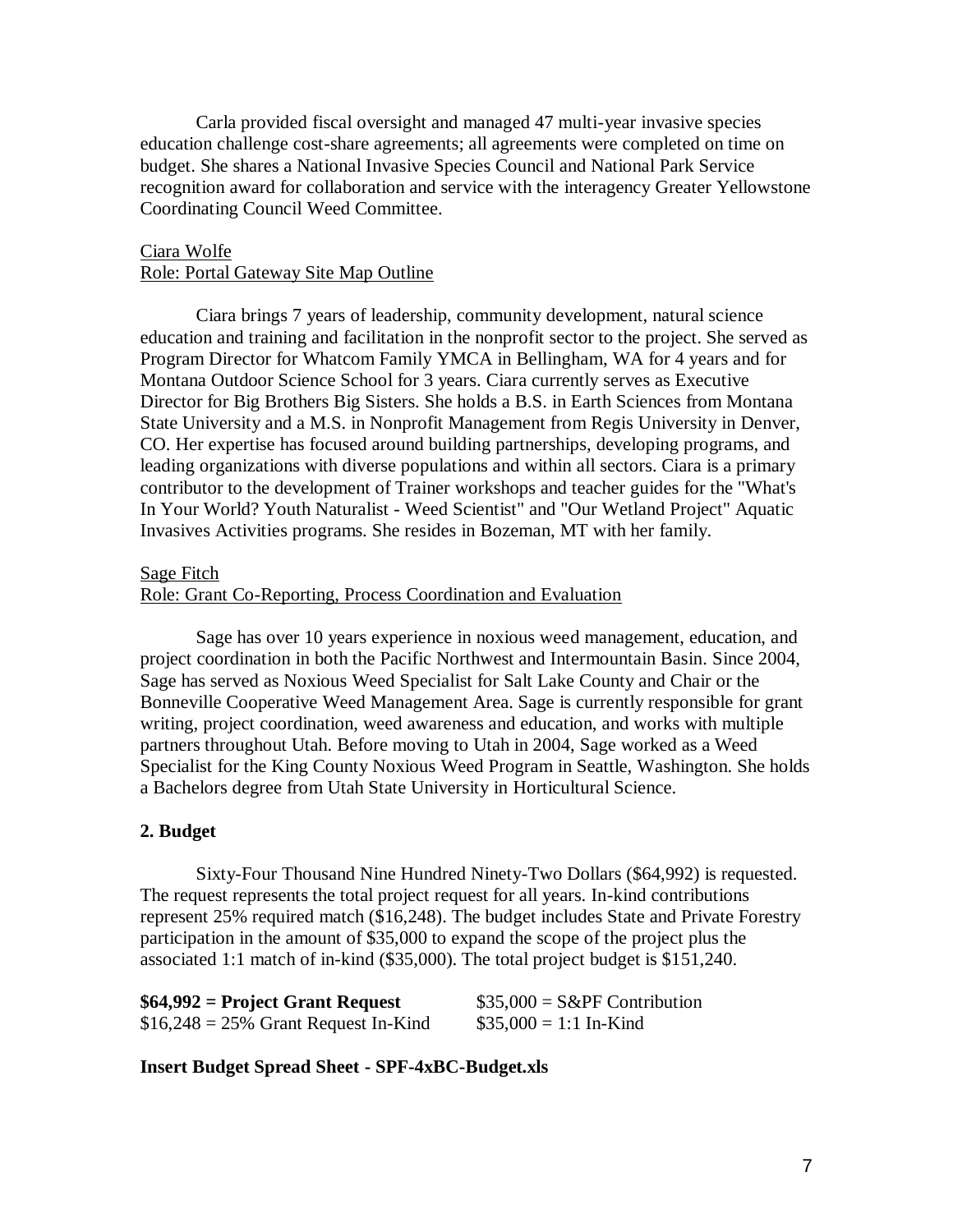Carla provided fiscal oversight and managed 47 multi-year invasive species education challenge cost-share agreements; all agreements were completed on time on budget. She shares a National Invasive Species Council and National Park Service recognition award for collaboration and service with the interagency Greater Yellowstone Coordinating Council Weed Committee.

## Ciara Wolfe Role: Portal Gateway Site Map Outline

Ciara brings 7 years of leadership, community development, natural science education and training and facilitation in the nonprofit sector to the project. She served as Program Director for Whatcom Family YMCA in Bellingham, WA for 4 years and for Montana Outdoor Science School for 3 years. Ciara currently serves as Executive Director for Big Brothers Big Sisters. She holds a B.S. in Earth Sciences from Montana State University and a M.S. in Nonprofit Management from Regis University in Denver, CO. Her expertise has focused around building partnerships, developing programs, and leading organizations with diverse populations and within all sectors. Ciara is a primary contributor to the development of Trainer workshops and teacher guides for the "What's In Your World? Youth Naturalist - Weed Scientist" and "Our Wetland Project" Aquatic Invasives Activities programs. She resides in Bozeman, MT with her family.

### Sage Fitch

#### Role: Grant Co-Reporting, Process Coordination and Evaluation

Sage has over 10 years experience in noxious weed management, education, and project coordination in both the Pacific Northwest and Intermountain Basin. Since 2004, Sage has served as Noxious Weed Specialist for Salt Lake County and Chair or the Bonneville Cooperative Weed Management Area. Sage is currently responsible for grant writing, project coordination, weed awareness and education, and works with multiple partners throughout Utah. Before moving to Utah in 2004, Sage worked as a Weed Specialist for the King County Noxious Weed Program in Seattle, Washington. She holds a Bachelors degree from Utah State University in Horticultural Science.

# **2. Budget**

Sixty-Four Thousand Nine Hundred Ninety-Two Dollars (\$64,992) is requested. The request represents the total project request for all years. In-kind contributions represent 25% required match (\$16,248). The budget includes State and Private Forestry participation in the amount of \$35,000 to expand the scope of the project plus the associated 1:1 match of in-kind (\$35,000). The total project budget is \$151,240.

| $$64,992$ = Project Grant Request      | $$35,000 = S\&PF$ Contribution |
|----------------------------------------|--------------------------------|
| $$16,248 = 25\%$ Grant Request In-Kind | $$35,000 = 1:1$ In-Kind        |

#### **Insert Budget Spread Sheet - SPF-4xBC-Budget.xls**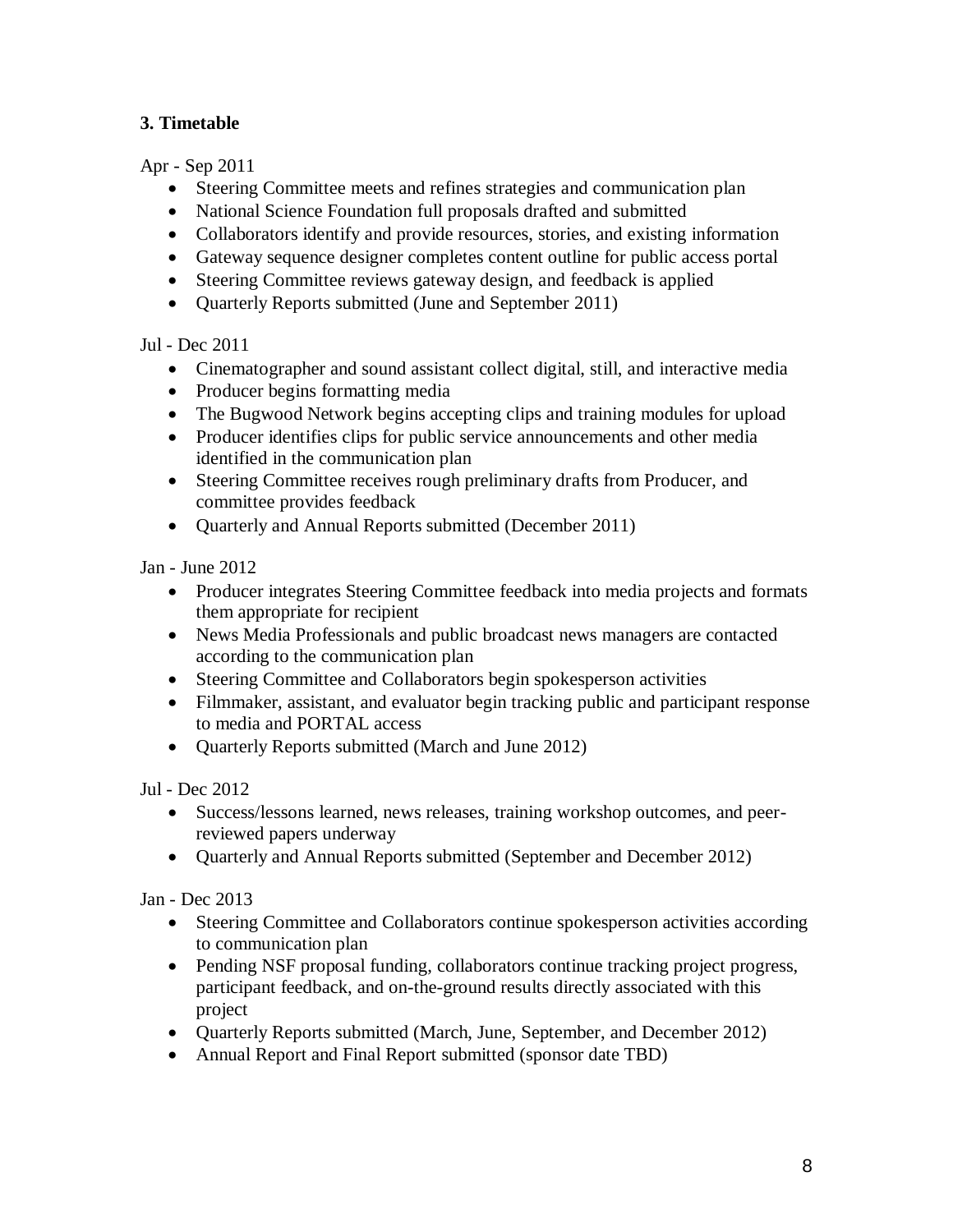# **3. Timetable**

Apr - Sep 2011

- Steering Committee meets and refines strategies and communication plan
- National Science Foundation full proposals drafted and submitted
- Collaborators identify and provide resources, stories, and existing information
- Gateway sequence designer completes content outline for public access portal
- Steering Committee reviews gateway design, and feedback is applied
- Quarterly Reports submitted (June and September 2011)

Jul - Dec 2011

- Cinematographer and sound assistant collect digital, still, and interactive media
- Producer begins formatting media
- The Bugwood Network begins accepting clips and training modules for upload
- Producer identifies clips for public service announcements and other media identified in the communication plan
- Steering Committee receives rough preliminary drafts from Producer, and committee provides feedback
- Quarterly and Annual Reports submitted (December 2011)

Jan - June 2012

- Producer integrates Steering Committee feedback into media projects and formats them appropriate for recipient
- News Media Professionals and public broadcast news managers are contacted according to the communication plan
- Steering Committee and Collaborators begin spokesperson activities
- Filmmaker, assistant, and evaluator begin tracking public and participant response to media and PORTAL access
- Quarterly Reports submitted (March and June 2012)

Jul - Dec 2012

- Success/lessons learned, news releases, training workshop outcomes, and peerreviewed papers underway
- Ouarterly and Annual Reports submitted (September and December 2012)

Jan - Dec 2013

- Steering Committee and Collaborators continue spokesperson activities according to communication plan
- Pending NSF proposal funding, collaborators continue tracking project progress, participant feedback, and on-the-ground results directly associated with this project
- Quarterly Reports submitted (March, June, September, and December 2012)
- Annual Report and Final Report submitted (sponsor date TBD)